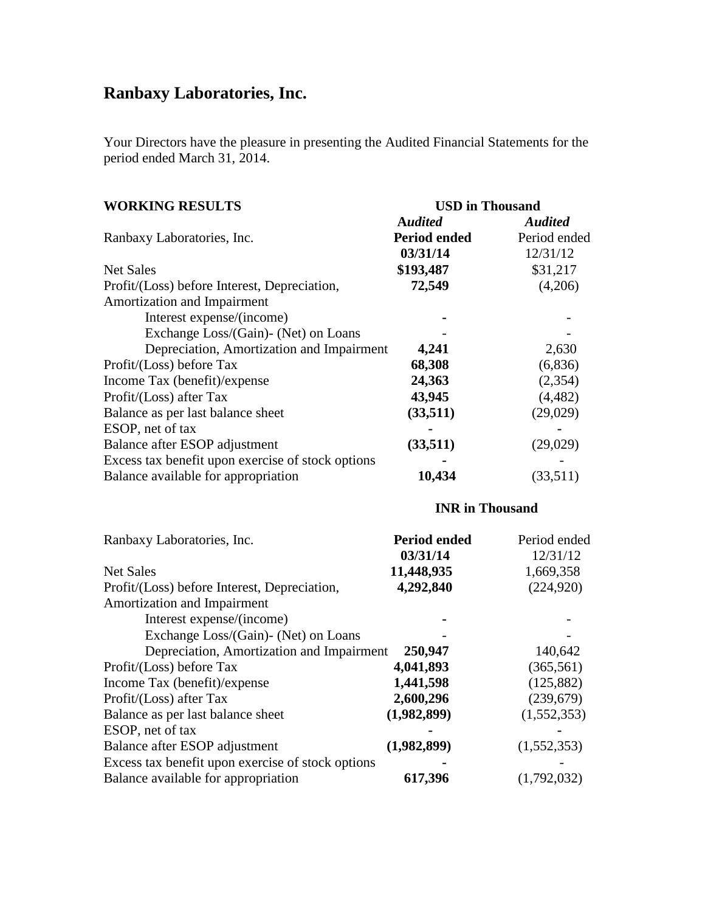# **Ranbaxy Laboratories, Inc.**

Your Directors have the pleasure in presenting the Audited Financial Statements for the period ended March 31, 2014.

| <b>WORKING RESULTS</b>                            | <b>USD</b> in Thousand |                |
|---------------------------------------------------|------------------------|----------------|
|                                                   | <b>Audited</b>         | <b>Audited</b> |
| Ranbaxy Laboratories, Inc.                        | Period ended           | Period ended   |
|                                                   | 03/31/14               | 12/31/12       |
| Net Sales                                         | \$193,487              | \$31,217       |
| Profit/(Loss) before Interest, Depreciation,      | 72,549                 | (4,206)        |
| Amortization and Impairment                       |                        |                |
| Interest expense/(income)                         |                        |                |
| Exchange Loss/(Gain)- (Net) on Loans              |                        |                |
| Depreciation, Amortization and Impairment         | 4,241                  | 2,630          |
| Profit/(Loss) before Tax                          | 68,308                 | (6,836)        |
| Income Tax (benefit)/expense                      | 24,363                 | (2, 354)       |
| Profit/(Loss) after Tax                           | 43,945                 | (4, 482)       |
| Balance as per last balance sheet                 | (33,511)               | (29, 029)      |
| ESOP, net of tax                                  |                        |                |
| Balance after ESOP adjustment                     | (33,511)               | (29,029)       |
| Excess tax benefit upon exercise of stock options |                        |                |
| Balance available for appropriation               | 10,434                 | (33,511)       |

# **INR in Thousand**

| Ranbaxy Laboratories, Inc.                        | <b>Period ended</b> | Period ended |
|---------------------------------------------------|---------------------|--------------|
|                                                   | 03/31/14            | 12/31/12     |
| <b>Net Sales</b>                                  | 11,448,935          | 1,669,358    |
| Profit/(Loss) before Interest, Depreciation,      | 4,292,840           | (224, 920)   |
| Amortization and Impairment                       |                     |              |
| Interest expense/(income)                         |                     |              |
| Exchange Loss/(Gain)- (Net) on Loans              |                     |              |
| Depreciation, Amortization and Impairment         | 250,947             | 140,642      |
| Profit/(Loss) before Tax                          | 4,041,893           | (365, 561)   |
| Income Tax (benefit)/expense                      | 1,441,598           | (125, 882)   |
| Profit/(Loss) after Tax                           | 2,600,296           | (239,679)    |
| Balance as per last balance sheet                 | (1,982,899)         | (1,552,353)  |
| ESOP, net of tax                                  |                     |              |
| Balance after ESOP adjustment                     | (1,982,899)         | (1,552,353)  |
| Excess tax benefit upon exercise of stock options |                     |              |
| Balance available for appropriation               | 617,396             | (1,792,032)  |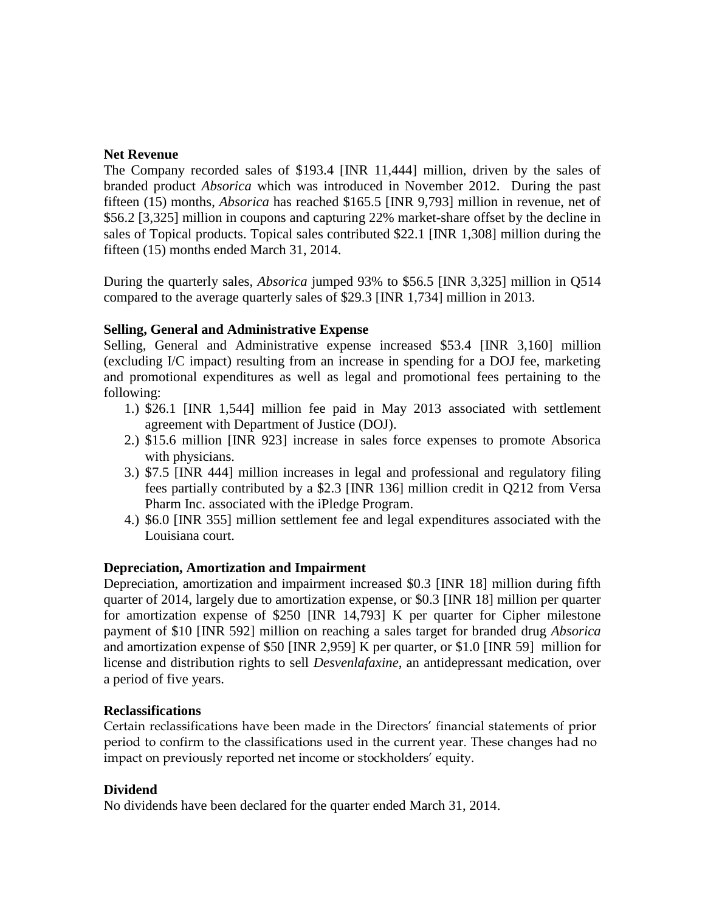# **Net Revenue**

The Company recorded sales of \$193.4 [INR 11,444] million, driven by the sales of branded product *Absorica* which was introduced in November 2012. During the past fifteen (15) months, *Absorica* has reached \$165.5 [INR 9,793] million in revenue, net of \$56.2 [3,325] million in coupons and capturing 22% market-share offset by the decline in sales of Topical products. Topical sales contributed \$22.1 [INR 1,308] million during the fifteen (15) months ended March 31, 2014.

During the quarterly sales, *Absorica* jumped 93% to \$56.5 [INR 3,325] million in Q514 compared to the average quarterly sales of \$29.3 [INR 1,734] million in 2013.

# **Selling, General and Administrative Expense**

Selling, General and Administrative expense increased \$53.4 [INR 3,160] million (excluding I/C impact) resulting from an increase in spending for a DOJ fee, marketing and promotional expenditures as well as legal and promotional fees pertaining to the following:

- 1.) \$26.1 [INR 1,544] million fee paid in May 2013 associated with settlement agreement with Department of Justice (DOJ).
- 2.) \$15.6 million [INR 923] increase in sales force expenses to promote Absorica with physicians.
- 3.) \$7.5 [INR 444] million increases in legal and professional and regulatory filing fees partially contributed by a \$2.3 [INR 136] million credit in Q212 from Versa Pharm Inc. associated with the iPledge Program.
- 4.) \$6.0 [INR 355] million settlement fee and legal expenditures associated with the Louisiana court.

# **Depreciation, Amortization and Impairment**

Depreciation, amortization and impairment increased \$0.3 [INR 18] million during fifth quarter of 2014, largely due to amortization expense, or \$0.3 [INR 18] million per quarter for amortization expense of \$250 [INR 14,793] K per quarter for Cipher milestone payment of \$10 [INR 592] million on reaching a sales target for branded drug *Absorica* and amortization expense of \$50 [INR 2,959] K per quarter, or \$1.0 [INR 59] million for license and distribution rights to sell *Desvenlafaxine*, an antidepressant medication, over a period of five years.

# **Reclassifications**

Certain reclassifications have been made in the Directors' financial statements of prior period to confirm to the classifications used in the current year. These changes had no impact on previously reported net income or stockholders' equity.

# **Dividend**

No dividends have been declared for the quarter ended March 31, 2014.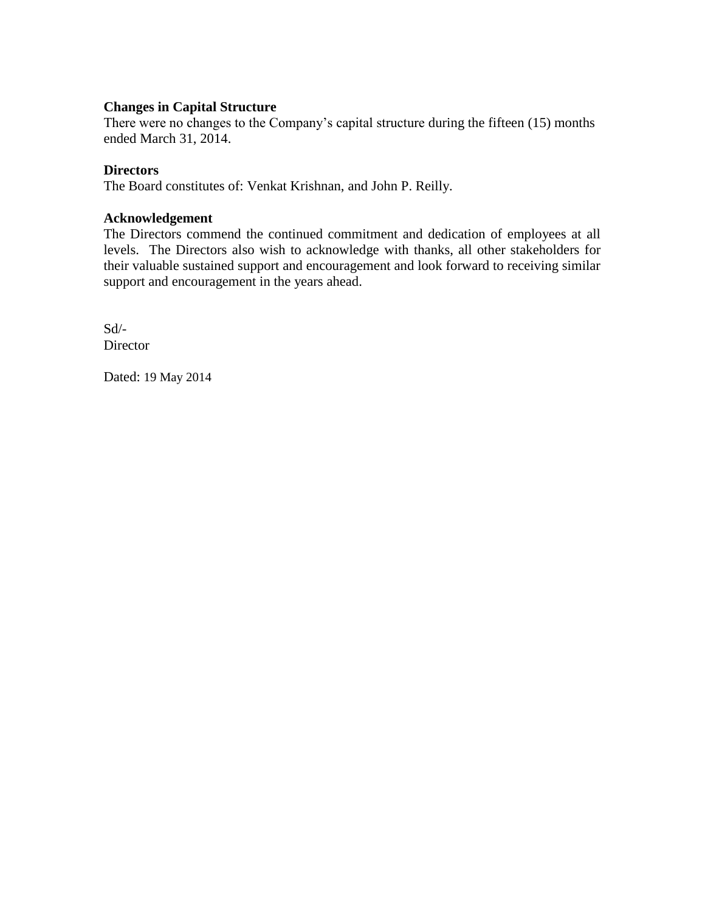# **Changes in Capital Structure**

There were no changes to the Company's capital structure during the fifteen (15) months ended March 31, 2014.

## **Directors**

The Board constitutes of: Venkat Krishnan, and John P. Reilly.

## **Acknowledgement**

The Directors commend the continued commitment and dedication of employees at all levels. The Directors also wish to acknowledge with thanks, all other stakeholders for their valuable sustained support and encouragement and look forward to receiving similar support and encouragement in the years ahead.

Sd/- **Director** 

Dated: 19 May 2014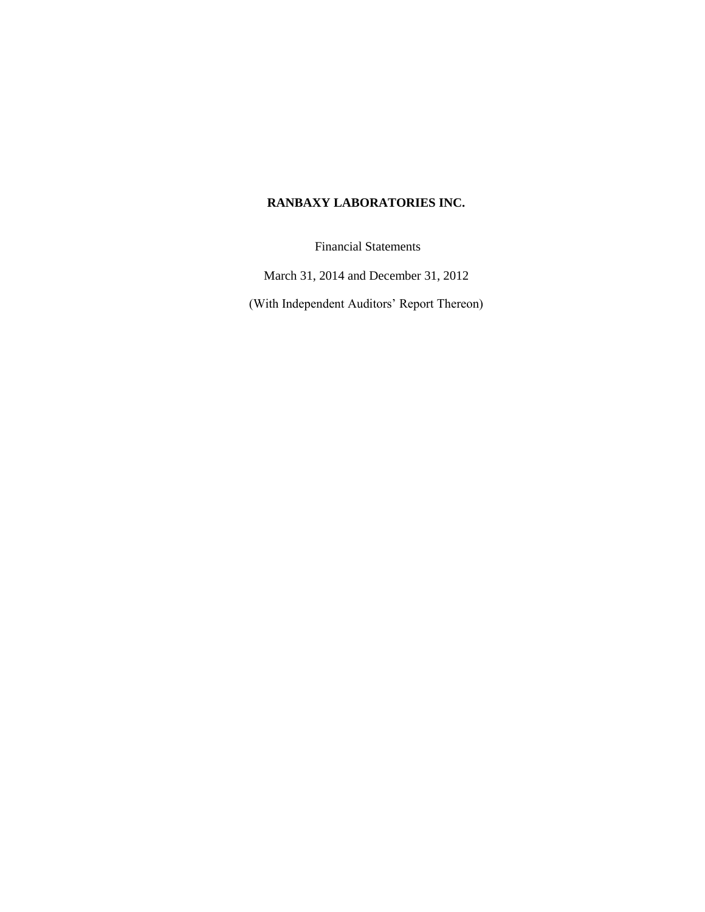# **RANBAXY LABORATORIES INC.**

Financial Statements

March 31, 2014 and December 31, 2012

(With Independent Auditors' Report Thereon)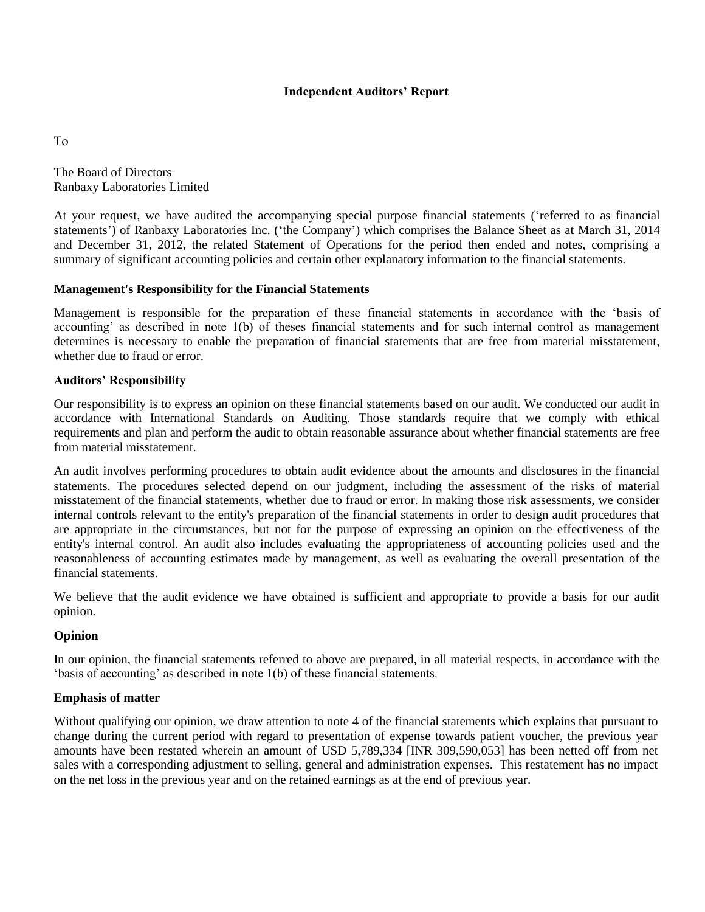## **Independent Auditors' Report**

To

The Board of Directors Ranbaxy Laboratories Limited

At your request, we have audited the accompanying special purpose financial statements ("referred to as financial statements') of Ranbaxy Laboratories Inc. ('the Company') which comprises the Balance Sheet as at March 31, 2014 and December 31, 2012, the related Statement of Operations for the period then ended and notes, comprising a summary of significant accounting policies and certain other explanatory information to the financial statements.

## **Management's Responsibility for the Financial Statements**

Management is responsible for the preparation of these financial statements in accordance with the "basis of accounting' as described in note 1(b) of theses financial statements and for such internal control as management determines is necessary to enable the preparation of financial statements that are free from material misstatement, whether due to fraud or error.

## **Auditors' Responsibility**

Our responsibility is to express an opinion on these financial statements based on our audit. We conducted our audit in accordance with International Standards on Auditing. Those standards require that we comply with ethical requirements and plan and perform the audit to obtain reasonable assurance about whether financial statements are free from material misstatement.

An audit involves performing procedures to obtain audit evidence about the amounts and disclosures in the financial statements. The procedures selected depend on our judgment, including the assessment of the risks of material misstatement of the financial statements, whether due to fraud or error. In making those risk assessments, we consider internal controls relevant to the entity's preparation of the financial statements in order to design audit procedures that are appropriate in the circumstances, but not for the purpose of expressing an opinion on the effectiveness of the entity's internal control. An audit also includes evaluating the appropriateness of accounting policies used and the reasonableness of accounting estimates made by management, as well as evaluating the overall presentation of the financial statements.

We believe that the audit evidence we have obtained is sufficient and appropriate to provide a basis for our audit opinion.

## **Opinion**

In our opinion, the financial statements referred to above are prepared, in all material respects, in accordance with the "basis of accounting" as described in note 1(b) of these financial statements.

## **Emphasis of matter**

Without qualifying our opinion, we draw attention to note 4 of the financial statements which explains that pursuant to change during the current period with regard to presentation of expense towards patient voucher, the previous year amounts have been restated wherein an amount of USD 5,789,334 [INR 309,590,053] has been netted off from net sales with a corresponding adjustment to selling, general and administration expenses. This restatement has no impact on the net loss in the previous year and on the retained earnings as at the end of previous year.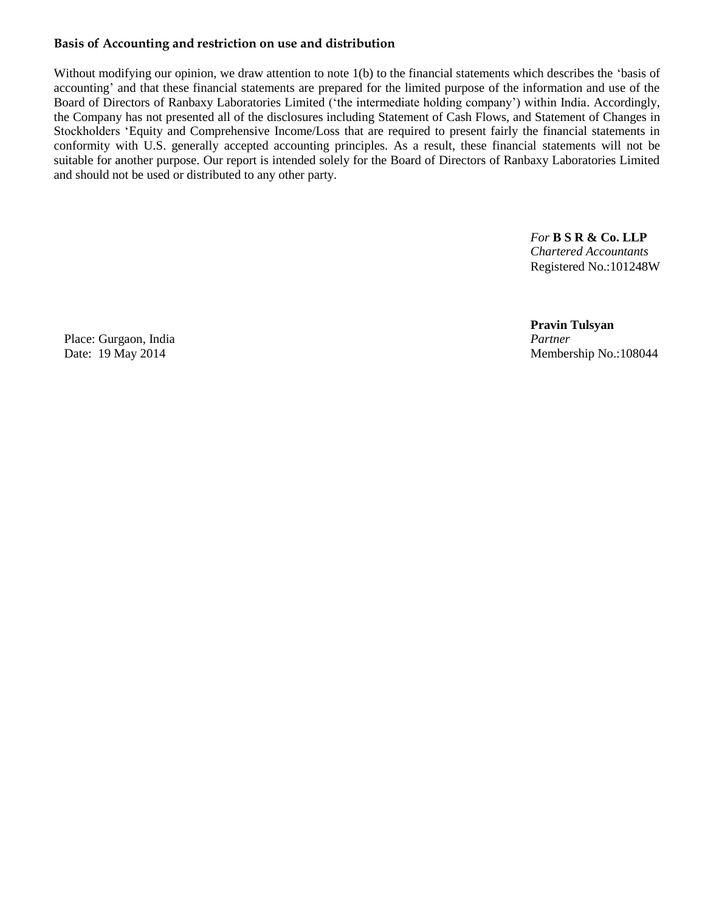# **Basis of Accounting and restriction on use and distribution**

Without modifying our opinion, we draw attention to note 1(b) to the financial statements which describes the 'basis of accounting" and that these financial statements are prepared for the limited purpose of the information and use of the Board of Directors of Ranbaxy Laboratories Limited ("the intermediate holding company") within India. Accordingly, the Company has not presented all of the disclosures including Statement of Cash Flows, and Statement of Changes in Stockholders "Equity and Comprehensive Income/Loss that are required to present fairly the financial statements in conformity with U.S. generally accepted accounting principles. As a result, these financial statements will not be suitable for another purpose. Our report is intended solely for the Board of Directors of Ranbaxy Laboratories Limited and should not be used or distributed to any other party.

> *For* **B S R & Co. LLP** *Chartered Accountants* Registered No.:101248W

**Pravin Tulsyan** Date: 19 May 2014 Membership No.:108044

Place: Gurgaon, India *Partner*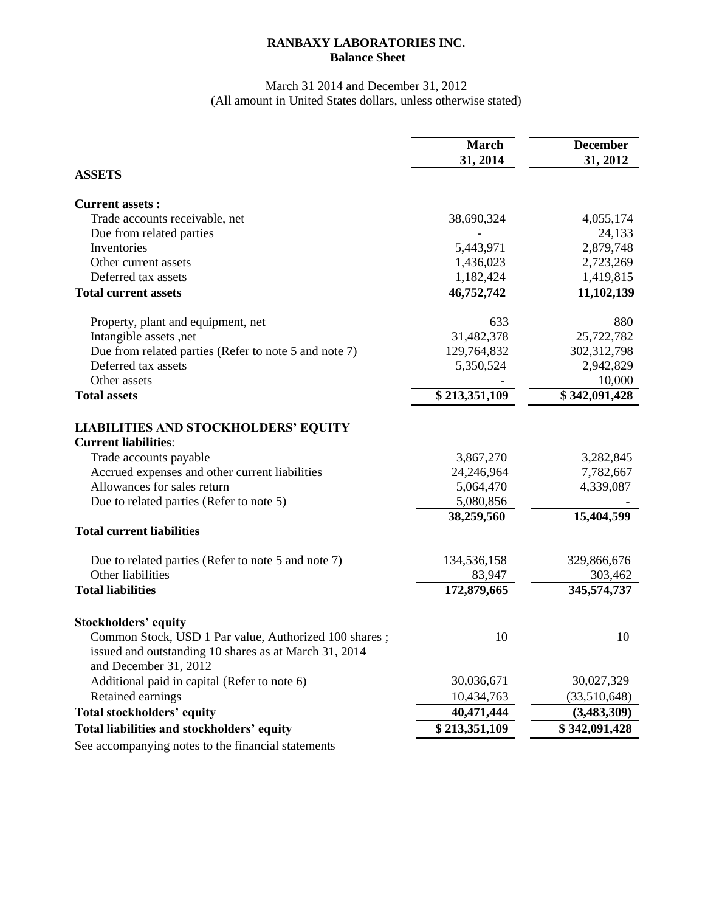# **RANBAXY LABORATORIES INC. Balance Sheet**

## March 31 2014 and December 31, 2012 (All amount in United States dollars, unless otherwise stated)

|                                                                                                                                         | <b>March</b><br>31, 2014 | <b>December</b><br>31, 2012 |
|-----------------------------------------------------------------------------------------------------------------------------------------|--------------------------|-----------------------------|
| <b>ASSETS</b>                                                                                                                           |                          |                             |
| <b>Current assets:</b>                                                                                                                  |                          |                             |
| Trade accounts receivable, net                                                                                                          | 38,690,324               | 4,055,174                   |
| Due from related parties                                                                                                                |                          | 24,133                      |
| Inventories                                                                                                                             | 5,443,971                | 2,879,748                   |
| Other current assets                                                                                                                    | 1,436,023                | 2,723,269                   |
| Deferred tax assets                                                                                                                     | 1,182,424                | 1,419,815                   |
| <b>Total current assets</b>                                                                                                             | 46,752,742               | 11,102,139                  |
| Property, plant and equipment, net                                                                                                      | 633                      | 880                         |
| Intangible assets, net                                                                                                                  | 31,482,378               | 25,722,782                  |
| Due from related parties (Refer to note 5 and note 7)                                                                                   | 129,764,832              | 302,312,798                 |
| Deferred tax assets                                                                                                                     | 5,350,524                | 2,942,829                   |
| Other assets                                                                                                                            |                          | 10,000                      |
| <b>Total assets</b>                                                                                                                     | \$213,351,109            | \$342,091,428               |
| <b>LIABILITIES AND STOCKHOLDERS' EQUITY</b><br><b>Current liabilities:</b>                                                              |                          |                             |
| Trade accounts payable                                                                                                                  | 3,867,270                | 3,282,845                   |
| Accrued expenses and other current liabilities                                                                                          | 24,246,964               | 7,782,667                   |
| Allowances for sales return                                                                                                             | 5,064,470                | 4,339,087                   |
| Due to related parties (Refer to note 5)                                                                                                | 5,080,856                |                             |
|                                                                                                                                         | 38,259,560               | 15,404,599                  |
| <b>Total current liabilities</b>                                                                                                        |                          |                             |
| Due to related parties (Refer to note 5 and note 7)                                                                                     | 134,536,158              | 329,866,676                 |
| Other liabilities                                                                                                                       | 83,947                   | 303,462                     |
| <b>Total liabilities</b>                                                                                                                | 172,879,665              | 345,574,737                 |
| <b>Stockholders' equity</b>                                                                                                             |                          |                             |
| Common Stock, USD 1 Par value, Authorized 100 shares;<br>issued and outstanding 10 shares as at March 31, 2014<br>and December 31, 2012 | 10                       | 10                          |
| Additional paid in capital (Refer to note 6)                                                                                            | 30,036,671               | 30,027,329                  |
| Retained earnings                                                                                                                       | 10,434,763               | (33,510,648)                |
| <b>Total stockholders' equity</b>                                                                                                       | 40,471,444               | (3,483,309)                 |
| Total liabilities and stockholders' equity                                                                                              | \$213,351,109            | \$342,091,428               |
| والمستحققة والملائمة ومهوما واستنصف وسيور                                                                                               |                          |                             |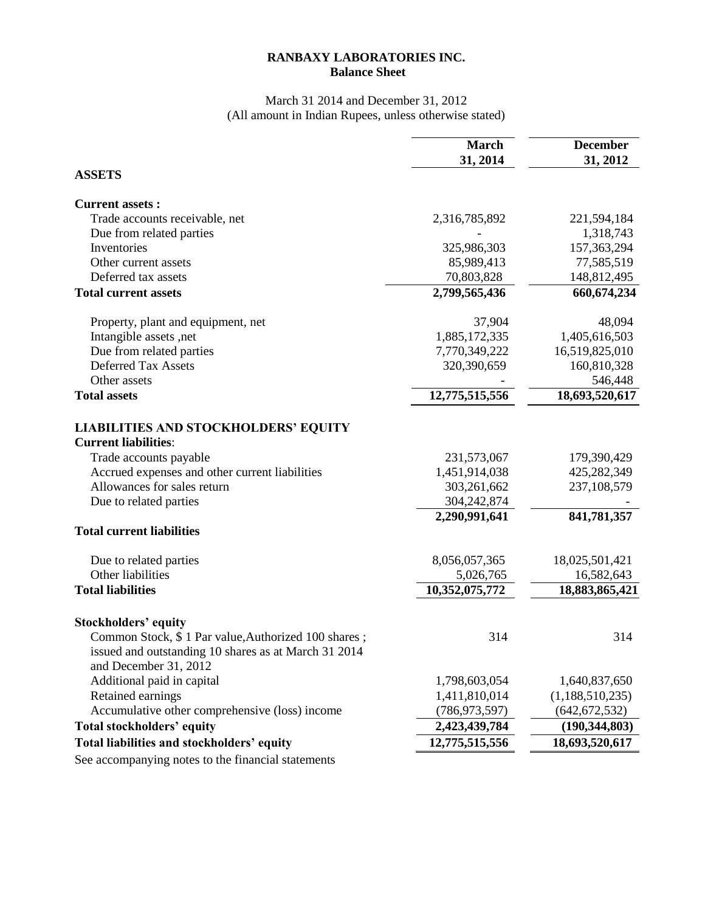# **RANBAXY LABORATORIES INC. Balance Sheet**

#### March 31 2014 and December 31, 2012 (All amount in Indian Rupees, unless otherwise stated)

|                                                                            | <b>March</b><br>31, 2014 | <b>December</b><br>31, 2012 |
|----------------------------------------------------------------------------|--------------------------|-----------------------------|
| <b>ASSETS</b>                                                              |                          |                             |
|                                                                            |                          |                             |
| <b>Current assets:</b>                                                     |                          |                             |
| Trade accounts receivable, net                                             | 2,316,785,892            | 221,594,184                 |
| Due from related parties                                                   |                          | 1,318,743                   |
| Inventories                                                                | 325,986,303              | 157,363,294                 |
| Other current assets                                                       | 85,989,413               | 77,585,519                  |
| Deferred tax assets                                                        | 70,803,828               | 148,812,495                 |
| <b>Total current assets</b>                                                | 2,799,565,436            | 660, 674, 234               |
| Property, plant and equipment, net                                         | 37,904                   | 48,094                      |
| Intangible assets, net                                                     | 1,885,172,335            | 1,405,616,503               |
| Due from related parties                                                   | 7,770,349,222            | 16,519,825,010              |
| <b>Deferred Tax Assets</b>                                                 | 320,390,659              | 160,810,328                 |
| Other assets                                                               |                          | 546,448                     |
| <b>Total assets</b>                                                        | 12,775,515,556           | 18,693,520,617              |
|                                                                            |                          |                             |
| <b>LIABILITIES AND STOCKHOLDERS' EQUITY</b><br><b>Current liabilities:</b> |                          |                             |
|                                                                            |                          |                             |
| Trade accounts payable                                                     | 231,573,067              | 179,390,429                 |
| Accrued expenses and other current liabilities                             | 1,451,914,038            | 425,282,349                 |
| Allowances for sales return                                                | 303,261,662              | 237,108,579                 |
| Due to related parties                                                     | 304,242,874              |                             |
| <b>Total current liabilities</b>                                           | 2,290,991,641            | 841,781,357                 |
|                                                                            |                          |                             |
| Due to related parties                                                     | 8,056,057,365            | 18,025,501,421              |
| Other liabilities                                                          | 5,026,765                | 16,582,643                  |
| <b>Total liabilities</b>                                                   | 10,352,075,772           | 18,883,865,421              |
| <b>Stockholders' equity</b>                                                |                          |                             |
| Common Stock, \$1 Par value, Authorized 100 shares;                        | 314                      | 314                         |
| issued and outstanding 10 shares as at March 31 2014                       |                          |                             |
| and December 31, 2012                                                      |                          |                             |
| Additional paid in capital                                                 | 1,798,603,054            | 1,640,837,650               |
| Retained earnings                                                          | 1,411,810,014            | (1,188,510,235)             |
| Accumulative other comprehensive (loss) income                             | (786, 973, 597)          | (642, 672, 532)             |
| <b>Total stockholders' equity</b>                                          | 2,423,439,784            | (190, 344, 803)             |
| Total liabilities and stockholders' equity                                 | 12,775,515,556           | 18,693,520,617              |
|                                                                            |                          |                             |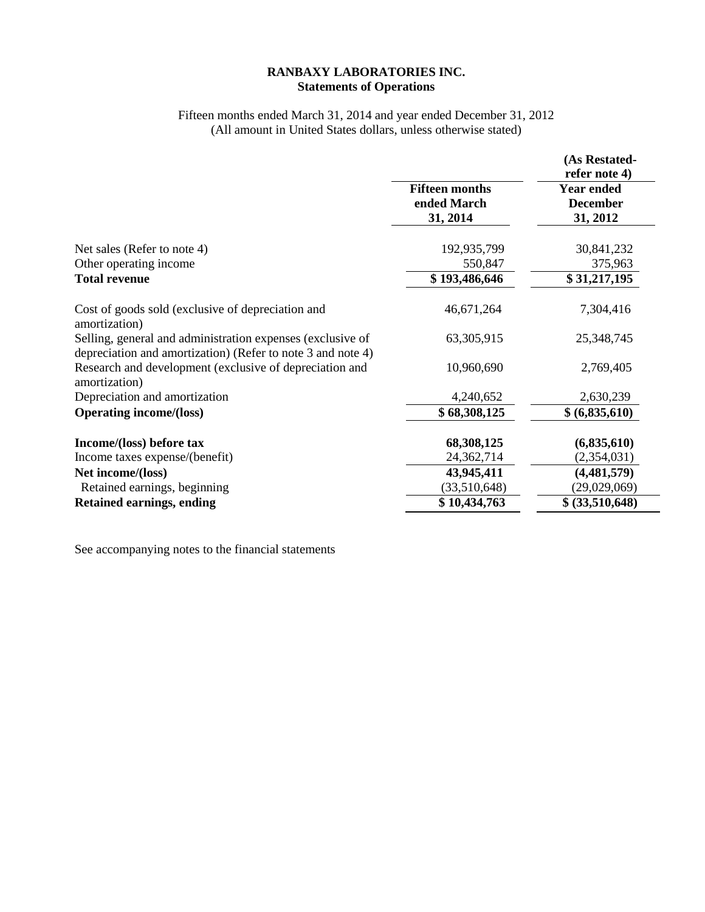## **RANBAXY LABORATORIES INC. Statements of Operations**

# Fifteen months ended March 31, 2014 and year ended December 31, 2012 (All amount in United States dollars, unless otherwise stated)

|                                                                                                                           |                                                  | (As Restated-<br>refer note 4)                   |
|---------------------------------------------------------------------------------------------------------------------------|--------------------------------------------------|--------------------------------------------------|
|                                                                                                                           | <b>Fifteen months</b><br>ended March<br>31, 2014 | <b>Year ended</b><br><b>December</b><br>31, 2012 |
|                                                                                                                           |                                                  |                                                  |
| Net sales (Refer to note 4)                                                                                               | 192,935,799                                      | 30,841,232                                       |
| Other operating income<br><b>Total revenue</b>                                                                            | 550,847<br>\$193,486,646                         | 375,963<br>\$31,217,195                          |
| Cost of goods sold (exclusive of depreciation and<br>amortization)                                                        | 46,671,264                                       | 7,304,416                                        |
| Selling, general and administration expenses (exclusive of<br>depreciation and amortization) (Refer to note 3 and note 4) | 63,305,915                                       | 25,348,745                                       |
| Research and development (exclusive of depreciation and<br>amortization)                                                  | 10,960,690                                       | 2,769,405                                        |
| Depreciation and amortization                                                                                             | 4,240,652                                        | 2,630,239                                        |
| <b>Operating income/(loss)</b>                                                                                            | \$68,308,125                                     | \$ (6,835,610)                                   |
| Income/(loss) before tax                                                                                                  | 68,308,125                                       | (6,835,610)                                      |
| Income taxes expense/(benefit)                                                                                            | 24,362,714                                       | (2,354,031)                                      |
| Net income/(loss)                                                                                                         | 43,945,411                                       | (4,481,579)                                      |
| Retained earnings, beginning                                                                                              | (33,510,648)                                     | (29,029,069)                                     |
| <b>Retained earnings, ending</b>                                                                                          | \$10,434,763                                     | \$ (33,510,648)                                  |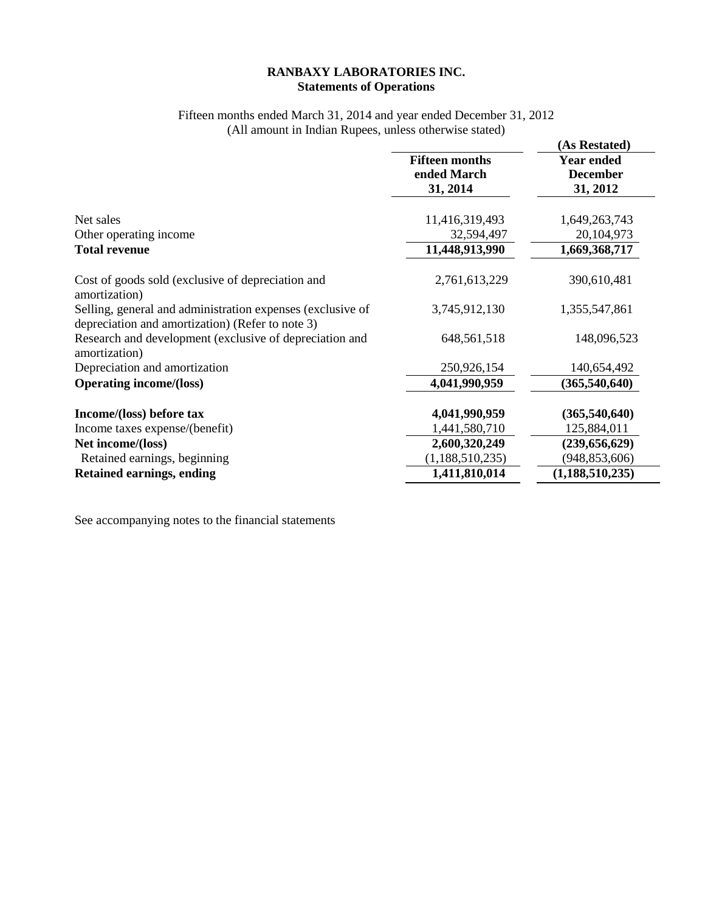## **RANBAXY LABORATORIES INC. Statements of Operations**

# Fifteen months ended March 31, 2014 and year ended December 31, 2012 (All amount in Indian Rupees, unless otherwise stated)

|                                                                                                                |                                                  | (As Restated)                                    |
|----------------------------------------------------------------------------------------------------------------|--------------------------------------------------|--------------------------------------------------|
|                                                                                                                | <b>Fifteen months</b><br>ended March<br>31, 2014 | <b>Year ended</b><br><b>December</b><br>31, 2012 |
| Net sales                                                                                                      | 11,416,319,493                                   | 1,649,263,743                                    |
| Other operating income                                                                                         | 32,594,497                                       | 20, 104, 973                                     |
| <b>Total revenue</b>                                                                                           | 11,448,913,990                                   | 1,669,368,717                                    |
| Cost of goods sold (exclusive of depreciation and<br>amortization)                                             | 2,761,613,229                                    | 390,610,481                                      |
| Selling, general and administration expenses (exclusive of<br>depreciation and amortization) (Refer to note 3) | 3,745,912,130                                    | 1,355,547,861                                    |
| Research and development (exclusive of depreciation and<br>amortization)                                       | 648, 561, 518                                    | 148,096,523                                      |
| Depreciation and amortization                                                                                  | 250,926,154                                      | 140,654,492                                      |
| <b>Operating income/(loss)</b>                                                                                 | 4,041,990,959                                    | (365,540,640)                                    |
| Income/(loss) before tax                                                                                       | 4,041,990,959                                    | (365,540,640)                                    |
| Income taxes expense/(benefit)                                                                                 | 1,441,580,710                                    | 125,884,011                                      |
| Net income/(loss)                                                                                              | 2,600,320,249                                    | (239, 656, 629)                                  |
| Retained earnings, beginning                                                                                   | (1,188,510,235)                                  | (948, 853, 606)                                  |
| <b>Retained earnings, ending</b>                                                                               | 1,411,810,014                                    | (1, 188, 510, 235)                               |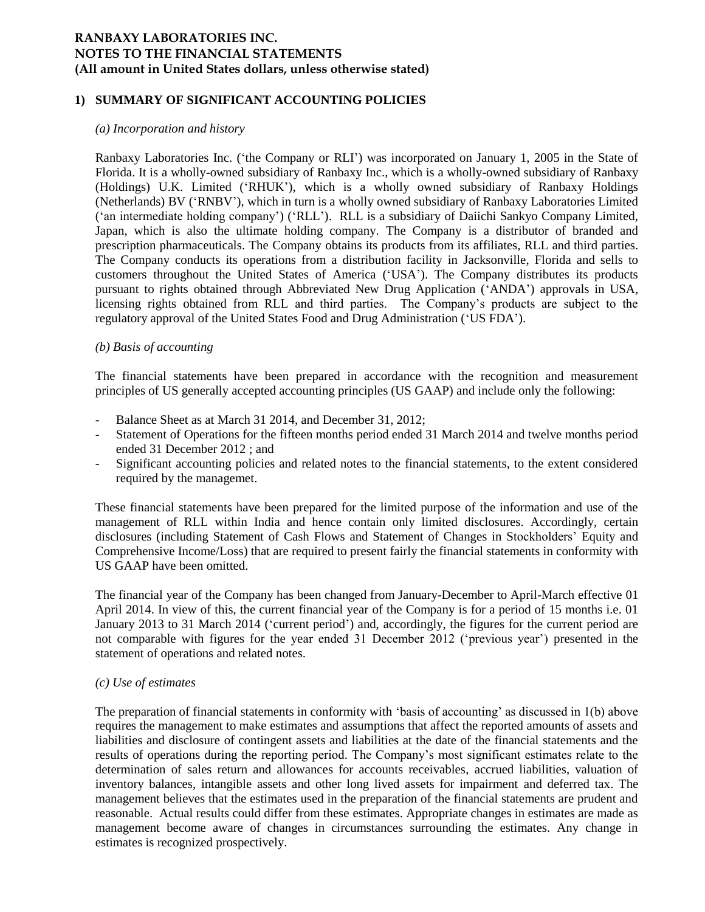## **1) SUMMARY OF SIGNIFICANT ACCOUNTING POLICIES**

#### *(a) Incorporation and history*

Ranbaxy Laboratories Inc. ("the Company or RLI") was incorporated on January 1, 2005 in the State of Florida. It is a wholly-owned subsidiary of Ranbaxy Inc., which is a wholly-owned subsidiary of Ranbaxy (Holdings) U.K. Limited ("RHUK"), which is a wholly owned subsidiary of Ranbaxy Holdings (Netherlands) BV ("RNBV"), which in turn is a wholly owned subsidiary of Ranbaxy Laboratories Limited ("an intermediate holding company") ("RLL"). RLL is a subsidiary of Daiichi Sankyo Company Limited, Japan, which is also the ultimate holding company. The Company is a distributor of branded and prescription pharmaceuticals. The Company obtains its products from its affiliates, RLL and third parties. The Company conducts its operations from a distribution facility in Jacksonville, Florida and sells to customers throughout the United States of America ("USA"). The Company distributes its products pursuant to rights obtained through Abbreviated New Drug Application ("ANDA") approvals in USA, licensing rights obtained from RLL and third parties. The Company"s products are subject to the regulatory approval of the United States Food and Drug Administration ("US FDA").

#### *(b) Basis of accounting*

The financial statements have been prepared in accordance with the recognition and measurement principles of US generally accepted accounting principles (US GAAP) and include only the following:

- Balance Sheet as at March 31 2014, and December 31, 2012;
- Statement of Operations for the fifteen months period ended 31 March 2014 and twelve months period ended 31 December 2012 ; and
- Significant accounting policies and related notes to the financial statements, to the extent considered required by the managemet.

These financial statements have been prepared for the limited purpose of the information and use of the management of RLL within India and hence contain only limited disclosures. Accordingly, certain disclosures (including Statement of Cash Flows and Statement of Changes in Stockholders" Equity and Comprehensive Income/Loss) that are required to present fairly the financial statements in conformity with US GAAP have been omitted.

The financial year of the Company has been changed from January-December to April-March effective 01 April 2014. In view of this, the current financial year of the Company is for a period of 15 months i.e. 01 January 2013 to 31 March 2014 ('current period') and, accordingly, the figures for the current period are not comparable with figures for the year ended 31 December 2012 ("previous year") presented in the statement of operations and related notes.

#### *(c) Use of estimates*

The preparation of financial statements in conformity with "basis of accounting" as discussed in 1(b) above requires the management to make estimates and assumptions that affect the reported amounts of assets and liabilities and disclosure of contingent assets and liabilities at the date of the financial statements and the results of operations during the reporting period. The Company"s most significant estimates relate to the determination of sales return and allowances for accounts receivables, accrued liabilities, valuation of inventory balances, intangible assets and other long lived assets for impairment and deferred tax. The management believes that the estimates used in the preparation of the financial statements are prudent and reasonable. Actual results could differ from these estimates. Appropriate changes in estimates are made as management become aware of changes in circumstances surrounding the estimates. Any change in estimates is recognized prospectively.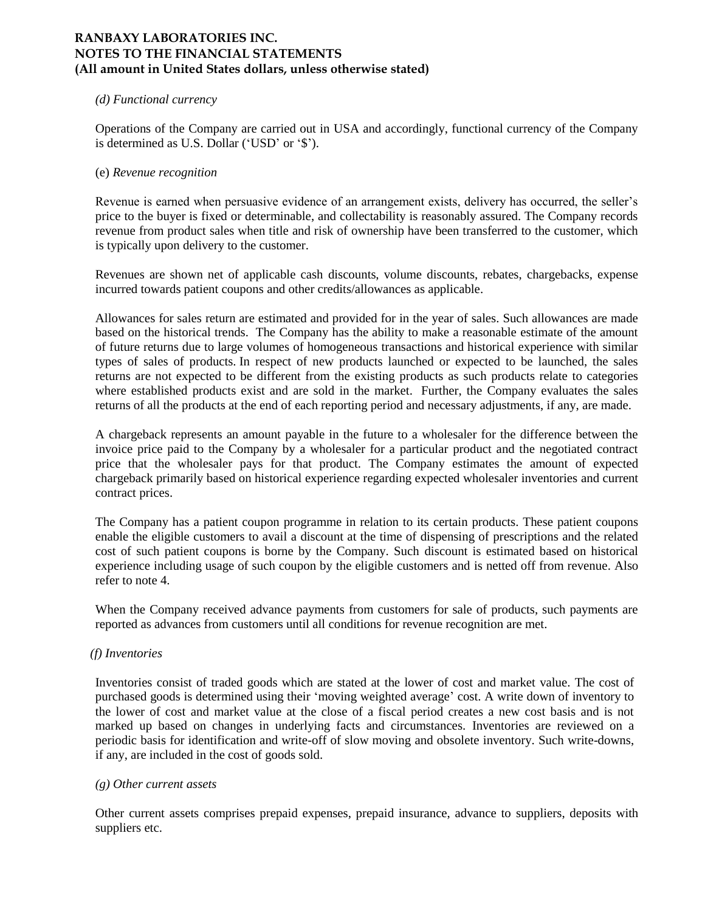#### *(d) Functional currency*

Operations of the Company are carried out in USA and accordingly, functional currency of the Company is determined as U.S. Dollar ('USD' or '\$').

#### (e) *Revenue recognition*

Revenue is earned when persuasive evidence of an arrangement exists, delivery has occurred, the seller"s price to the buyer is fixed or determinable, and collectability is reasonably assured. The Company records revenue from product sales when title and risk of ownership have been transferred to the customer, which is typically upon delivery to the customer.

Revenues are shown net of applicable cash discounts, volume discounts, rebates, chargebacks, expense incurred towards patient coupons and other credits/allowances as applicable.

Allowances for sales return are estimated and provided for in the year of sales. Such allowances are made based on the historical trends. The Company has the ability to make a reasonable estimate of the amount of future returns due to large volumes of homogeneous transactions and historical experience with similar types of sales of products. In respect of new products launched or expected to be launched, the sales returns are not expected to be different from the existing products as such products relate to categories where established products exist and are sold in the market. Further, the Company evaluates the sales returns of all the products at the end of each reporting period and necessary adjustments, if any, are made.

A chargeback represents an amount payable in the future to a wholesaler for the difference between the invoice price paid to the Company by a wholesaler for a particular product and the negotiated contract price that the wholesaler pays for that product. The Company estimates the amount of expected chargeback primarily based on historical experience regarding expected wholesaler inventories and current contract prices.

The Company has a patient coupon programme in relation to its certain products. These patient coupons enable the eligible customers to avail a discount at the time of dispensing of prescriptions and the related cost of such patient coupons is borne by the Company. Such discount is estimated based on historical experience including usage of such coupon by the eligible customers and is netted off from revenue. Also refer to note 4.

When the Company received advance payments from customers for sale of products, such payments are reported as advances from customers until all conditions for revenue recognition are met.

## *(f) Inventories*

Inventories consist of traded goods which are stated at the lower of cost and market value. The cost of purchased goods is determined using their 'moving weighted average' cost. A write down of inventory to the lower of cost and market value at the close of a fiscal period creates a new cost basis and is not marked up based on changes in underlying facts and circumstances. Inventories are reviewed on a periodic basis for identification and write-off of slow moving and obsolete inventory. Such write-downs, if any, are included in the cost of goods sold.

#### *(g) Other current assets*

Other current assets comprises prepaid expenses, prepaid insurance, advance to suppliers, deposits with suppliers etc.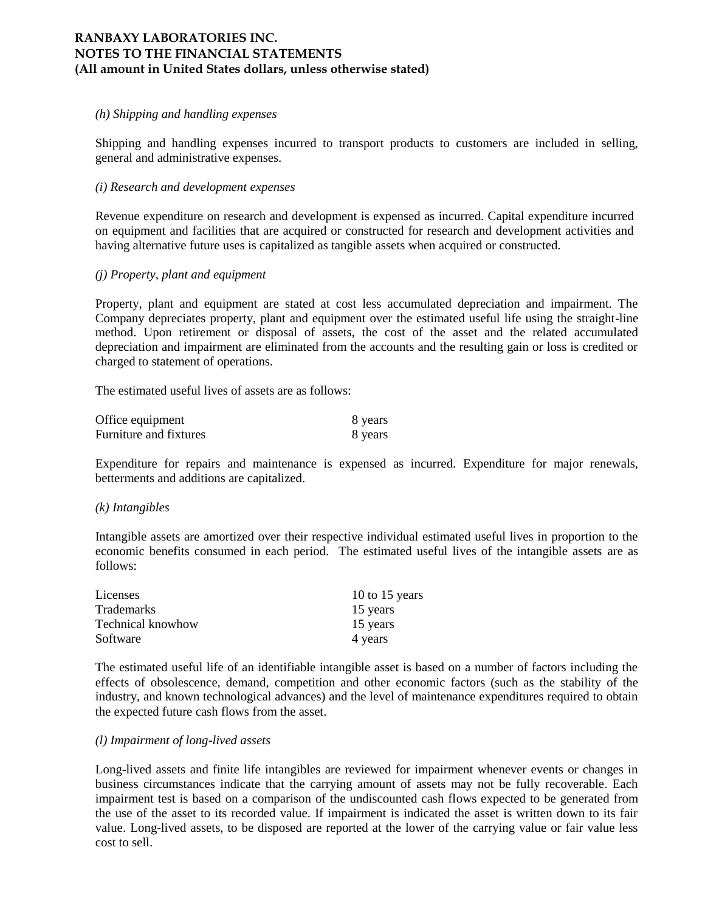#### *(h) Shipping and handling expenses*

Shipping and handling expenses incurred to transport products to customers are included in selling, general and administrative expenses.

#### *(i) Research and development expenses*

Revenue expenditure on research and development is expensed as incurred. Capital expenditure incurred on equipment and facilities that are acquired or constructed for research and development activities and having alternative future uses is capitalized as tangible assets when acquired or constructed.

#### *(j) Property, plant and equipment*

Property, plant and equipment are stated at cost less accumulated depreciation and impairment. The Company depreciates property, plant and equipment over the estimated useful life using the straight-line method. Upon retirement or disposal of assets, the cost of the asset and the related accumulated depreciation and impairment are eliminated from the accounts and the resulting gain or loss is credited or charged to statement of operations.

The estimated useful lives of assets are as follows:

| Office equipment       | 8 years |
|------------------------|---------|
| Furniture and fixtures | 8 years |

Expenditure for repairs and maintenance is expensed as incurred. Expenditure for major renewals, betterments and additions are capitalized.

#### *(k) Intangibles*

Intangible assets are amortized over their respective individual estimated useful lives in proportion to the economic benefits consumed in each period. The estimated useful lives of the intangible assets are as follows:

| Licenses          | 10 to 15 years |
|-------------------|----------------|
| <b>Trademarks</b> | 15 years       |
| Technical knowhow | 15 years       |
| Software          | 4 years        |

The estimated useful life of an identifiable intangible asset is based on a number of factors including the effects of obsolescence, demand, competition and other economic factors (such as the stability of the industry, and known technological advances) and the level of maintenance expenditures required to obtain the expected future cash flows from the asset.

#### *(l) Impairment of long-lived assets*

Long-lived assets and finite life intangibles are reviewed for impairment whenever events or changes in business circumstances indicate that the carrying amount of assets may not be fully recoverable. Each impairment test is based on a comparison of the undiscounted cash flows expected to be generated from the use of the asset to its recorded value. If impairment is indicated the asset is written down to its fair value. Long-lived assets, to be disposed are reported at the lower of the carrying value or fair value less cost to sell.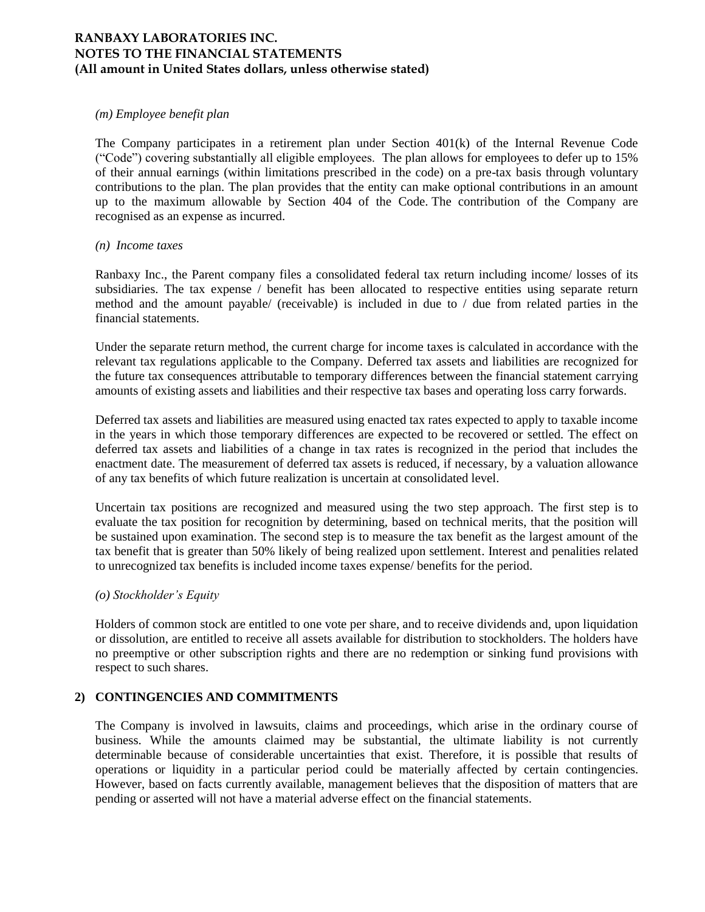## *(m) Employee benefit plan*

The Company participates in a retirement plan under Section 401(k) of the Internal Revenue Code ("Code") covering substantially all eligible employees. The plan allows for employees to defer up to 15% of their annual earnings (within limitations prescribed in the code) on a pre-tax basis through voluntary contributions to the plan. The plan provides that the entity can make optional contributions in an amount up to the maximum allowable by Section 404 of the Code. The contribution of the Company are recognised as an expense as incurred.

#### *(n) Income taxes*

Ranbaxy Inc., the Parent company files a consolidated federal tax return including income/ losses of its subsidiaries. The tax expense / benefit has been allocated to respective entities using separate return method and the amount payable/ (receivable) is included in due to / due from related parties in the financial statements.

Under the separate return method, the current charge for income taxes is calculated in accordance with the relevant tax regulations applicable to the Company. Deferred tax assets and liabilities are recognized for the future tax consequences attributable to temporary differences between the financial statement carrying amounts of existing assets and liabilities and their respective tax bases and operating loss carry forwards.

Deferred tax assets and liabilities are measured using enacted tax rates expected to apply to taxable income in the years in which those temporary differences are expected to be recovered or settled. The effect on deferred tax assets and liabilities of a change in tax rates is recognized in the period that includes the enactment date. The measurement of deferred tax assets is reduced, if necessary, by a valuation allowance of any tax benefits of which future realization is uncertain at consolidated level.

Uncertain tax positions are recognized and measured using the two step approach. The first step is to evaluate the tax position for recognition by determining, based on technical merits, that the position will be sustained upon examination. The second step is to measure the tax benefit as the largest amount of the tax benefit that is greater than 50% likely of being realized upon settlement. Interest and penalities related to unrecognized tax benefits is included income taxes expense/ benefits for the period.

## *(o) Stockholder's Equity*

Holders of common stock are entitled to one vote per share, and to receive dividends and, upon liquidation or dissolution, are entitled to receive all assets available for distribution to stockholders. The holders have no preemptive or other subscription rights and there are no redemption or sinking fund provisions with respect to such shares.

# **2) CONTINGENCIES AND COMMITMENTS**

The Company is involved in lawsuits, claims and proceedings, which arise in the ordinary course of business. While the amounts claimed may be substantial, the ultimate liability is not currently determinable because of considerable uncertainties that exist. Therefore, it is possible that results of operations or liquidity in a particular period could be materially affected by certain contingencies. However, based on facts currently available, management believes that the disposition of matters that are pending or asserted will not have a material adverse effect on the financial statements.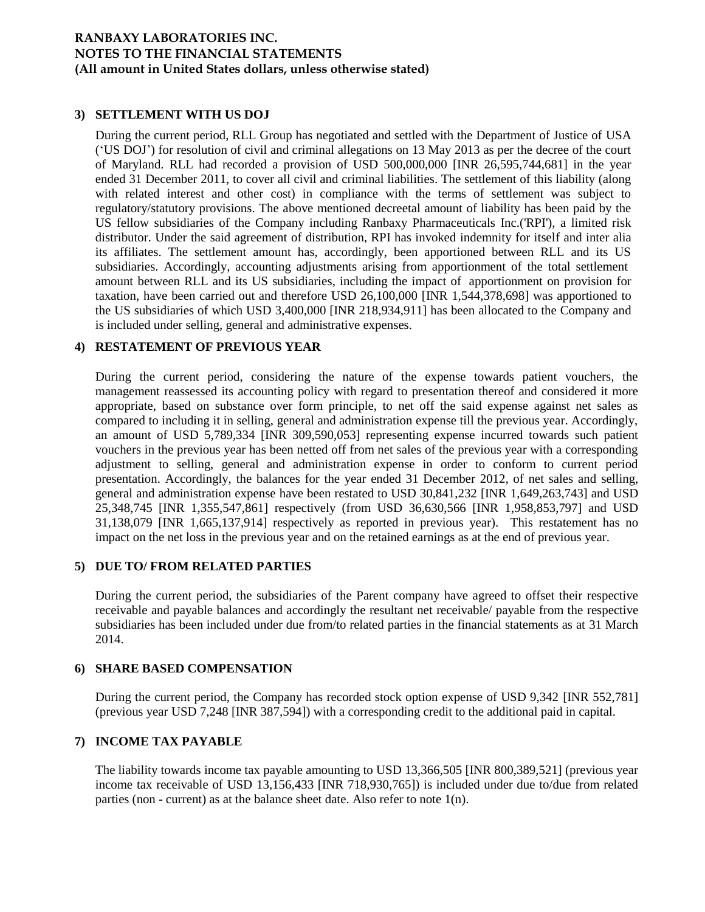# **3) SETTLEMENT WITH US DOJ**

During the current period, RLL Group has negotiated and settled with the Department of Justice of USA ("US DOJ") for resolution of civil and criminal allegations on 13 May 2013 as per the decree of the court of Maryland. RLL had recorded a provision of USD 500,000,000 [INR 26,595,744,681] in the year ended 31 December 2011, to cover all civil and criminal liabilities. The settlement of this liability (along with related interest and other cost) in compliance with the terms of settlement was subject to regulatory/statutory provisions. The above mentioned decreetal amount of liability has been paid by the US fellow subsidiaries of the Company including Ranbaxy Pharmaceuticals Inc.('RPI'), a limited risk distributor. Under the said agreement of distribution, RPI has invoked indemnity for itself and inter alia its affiliates. The settlement amount has, accordingly, been apportioned between RLL and its US subsidiaries. Accordingly, accounting adjustments arising from apportionment of the total settlement amount between RLL and its US subsidiaries, including the impact of apportionment on provision for taxation, have been carried out and therefore USD 26,100,000 [INR 1,544,378,698] was apportioned to the US subsidiaries of which USD 3,400,000 [INR 218,934,911] has been allocated to the Company and is included under selling, general and administrative expenses.

## **4) RESTATEMENT OF PREVIOUS YEAR**

During the current period, considering the nature of the expense towards patient vouchers, the management reassessed its accounting policy with regard to presentation thereof and considered it more appropriate, based on substance over form principle, to net off the said expense against net sales as compared to including it in selling, general and administration expense till the previous year. Accordingly, an amount of USD 5,789,334 [INR 309,590,053] representing expense incurred towards such patient vouchers in the previous year has been netted off from net sales of the previous year with a corresponding adjustment to selling, general and administration expense in order to conform to current period presentation. Accordingly, the balances for the year ended 31 December 2012, of net sales and selling, general and administration expense have been restated to USD 30,841,232 [INR 1,649,263,743] and USD 25,348,745 [INR 1,355,547,861] respectively (from USD 36,630,566 [INR 1,958,853,797] and USD 31,138,079 [INR 1,665,137,914] respectively as reported in previous year). This restatement has no impact on the net loss in the previous year and on the retained earnings as at the end of previous year.

## **5) DUE TO/ FROM RELATED PARTIES**

During the current period, the subsidiaries of the Parent company have agreed to offset their respective receivable and payable balances and accordingly the resultant net receivable/ payable from the respective subsidiaries has been included under due from/to related parties in the financial statements as at 31 March 2014.

## **6) SHARE BASED COMPENSATION**

During the current period, the Company has recorded stock option expense of USD 9,342 [INR 552,781] (previous year USD 7,248 [INR 387,594]) with a corresponding credit to the additional paid in capital.

## **7) INCOME TAX PAYABLE**

The liability towards income tax payable amounting to USD 13,366,505 [INR 800,389,521] (previous year income tax receivable of USD 13,156,433 [INR 718,930,765]) is included under due to/due from related parties (non - current) as at the balance sheet date. Also refer to note 1(n).